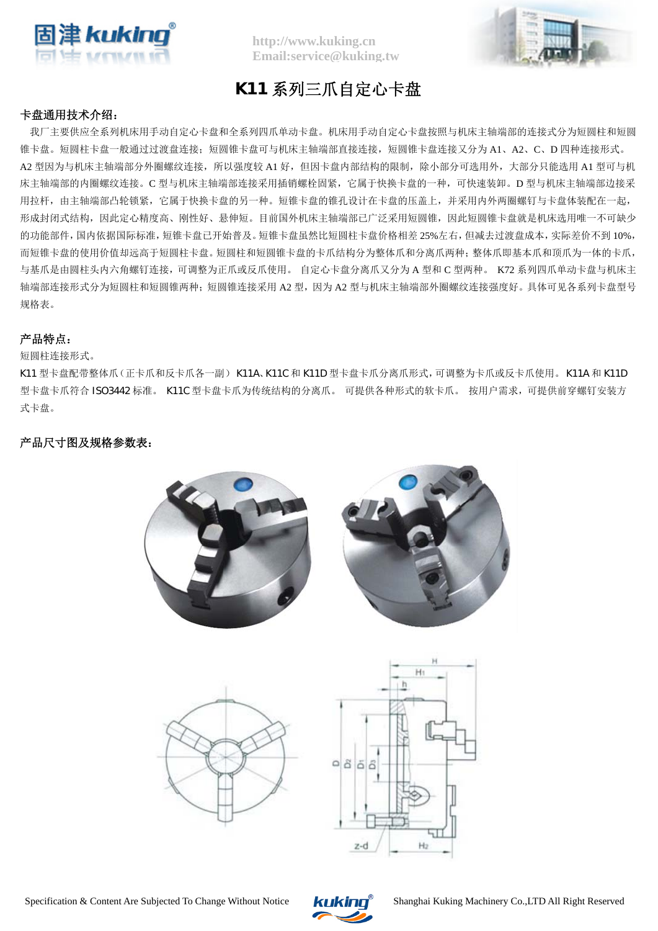

**http://www.kuking.cn Email:service@kuking.tw**



# **K11** 系列三爪自定心卡盘

### 卡盘通用技术介绍:

我厂主要供应全系列机床用手动自定心卡盘和全系列四爪单动卡盘。机床用手动自定心卡盘按照与机床主轴端部的连接式分为短圆柱和短圆 锥卡盘。短圆柱卡盘一般通过过渡盘连接;短圆锥卡盘可与机床主轴端部直接连接,短圆锥卡盘连接又分为 A1、A2、C、D 四种连接形式。 A2 型因为与机床主轴端部分外圈螺纹连接,所以强度较 A1 好,但因卡盘内部结构的限制,除小部分可选用外,大部分只能选用 A1 型可与机 床主轴端部的内圈螺纹连接。C 型与机床主轴端部连接采用插销螺栓固紧,它属于快换卡盘的一种,可快速装卸。D 型与机床主轴端部边接采 用拉杆,由主轴端部凸轮锁紧,它属于快换卡盘的另一种。短锥卡盘的锥孔设计在卡盘的压盖上,并采用内外两圈螺钉与卡盘体装配在一起, 形成封闭式结构,因此定心精度高、刚性好、悬伸短。目前国外机床主轴端部已广泛采用短圆锥,因此短圆锥卡盘就是机床选用唯一不可缺少 的功能部件,国内依据国际标准,短锥卡盘已开始普及。短锥卡盘虽然比短圆柱卡盘价格相差 25%左右,但减去过渡盘成本,实际差价不到 10%, 而短锥卡盘的使用价值却远高于短圆柱卡盘。短圆柱和短圆锥卡盘的卡爪结构分为整体爪和分离爪两种;整体爪即基本爪和顶爪为一体的卡爪, 与基爪是由圆柱头内六角螺钉连接,可调整为正爪或反爪使用。 自定心卡盘分离爪又分为 A 型和 C 型两种。 K72 系列四爪单动卡盘与机床主 轴端部连接形式分为短圆柱和短圆锥两种;短圆锥连接采用 A2 型,因为 A2 型与机床主轴端部外圈螺纹连接强度好。具体可见各系列卡盘型号 规格表。

### 产品特点:

#### 短圆柱连接形式。

K11 型卡盘配带整体爪(正卡爪和反卡爪各一副) K11A、K11C 和 K11D 型卡盘卡爪分离爪形式, 可调整为卡爪或反卡爪使用。K11A 和 K11D 型卡盘卡爪符合 ISO3442 标准。 K11C 型卡盘卡爪为传统结构的分离爪。 可提供各种形式的软卡爪。 按用户需求, 可提供前穿螺钉安装方 式卡盘。

## 产品尺寸图及规格参数表:



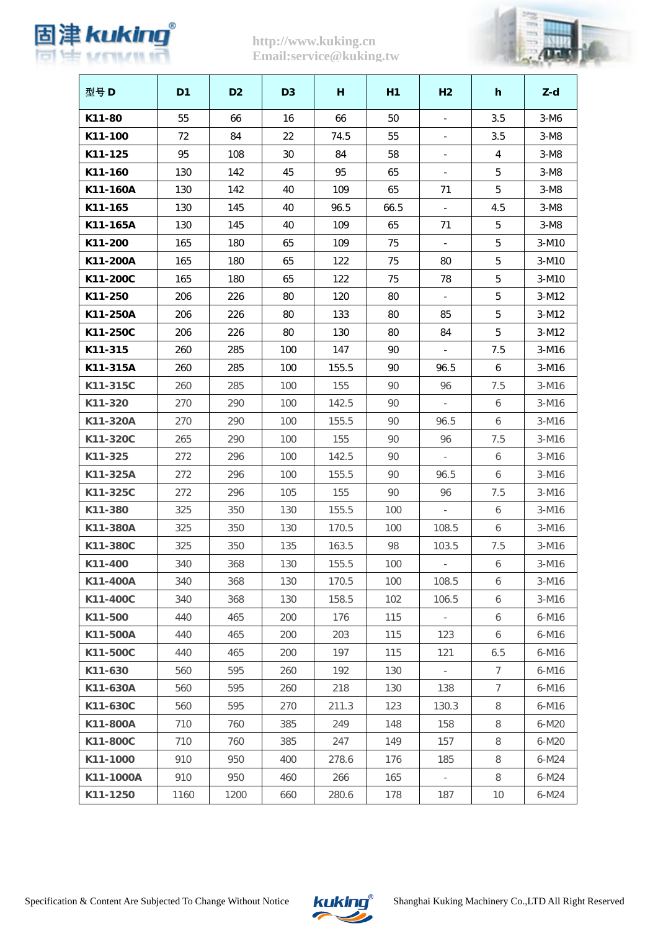

# **http://www.kuking.cn Email:service@kuking.tw**



| 型号 D      | D <sub>1</sub> | D <sub>2</sub> | D <sub>3</sub> | н     | H1   | H <sub>2</sub>           | h               | $Z-d$   |
|-----------|----------------|----------------|----------------|-------|------|--------------------------|-----------------|---------|
| K11-80    | 55             | 66             | 16             | 66    | 50   | $\blacksquare$           | 3.5             | $3-M6$  |
| K11-100   | 72             | 84             | 22             | 74.5  | 55   | $\overline{\phantom{a}}$ | 3.5             | $3-M8$  |
| K11-125   | 95             | 108            | 30             | 84    | 58   |                          | $\overline{4}$  | $3-M8$  |
| K11-160   | 130            | 142            | 45             | 95    | 65   | $\blacksquare$           | 5               | $3-M8$  |
| K11-160A  | 130            | 142            | 40             | 109   | 65   | 71                       | 5               | $3-M8$  |
| K11-165   | 130            | 145            | 40             | 96.5  | 66.5 |                          | 4.5             | $3-M8$  |
| K11-165A  | 130            | 145            | 40             | 109   | 65   | 71                       | 5               | $3-M8$  |
| K11-200   | 165            | 180            | 65             | 109   | 75   |                          | 5               | $3-M10$ |
| K11-200A  | 165            | 180            | 65             | 122   | 75   | 80                       | 5               | 3-M10   |
| K11-200C  | 165            | 180            | 65             | 122   | 75   | 78                       | 5               | $3-M10$ |
| K11-250   | 206            | 226            | 80             | 120   | 80   |                          | 5               | $3-M12$ |
| K11-250A  | 206            | 226            | 80             | 133   | 80   | 85                       | 5               | $3-M12$ |
| K11-250C  | 206            | 226            | 80             | 130   | 80   | 84                       | 5               | $3-M12$ |
| K11-315   | 260            | 285            | 100            | 147   | 90   |                          | 7.5             | 3-M16   |
| K11-315A  | 260            | 285            | 100            | 155.5 | 90   | 96.5                     | 6               | $3-M16$ |
| K11-315C  | 260            | 285            | 100            | 155   | 90   | 96                       | 7.5             | $3-M16$ |
| K11-320   | 270            | 290            | 100            | 142.5 | 90   | $\overline{\phantom{a}}$ | 6               | $3-M16$ |
| K11-320A  | 270            | 290            | 100            | 155.5 | 90   | 96.5                     | 6               | $3-M16$ |
| K11-320C  | 265            | 290            | 100            | 155   | 90   | 96                       | 7.5             | $3-M16$ |
| K11-325   | 272            | 296            | 100            | 142.5 | 90   | $\sim$                   | 6               | $3-M16$ |
| K11-325A  | 272            | 296            | 100            | 155.5 | 90   | 96.5                     | 6               | $3-M16$ |
| K11-325C  | 272            | 296            | 105            | 155   | 90   | 96                       | 7.5             | $3-M16$ |
| K11-380   | 325            | 350            | 130            | 155.5 | 100  | $\omega$                 | 6               | $3-M16$ |
| K11-380A  | 325            | 350            | 130            | 170.5 | 100  | 108.5                    | 6               | $3-M16$ |
| K11-380C  | 325            | 350            | 135            | 163.5 | 98   | 103.5                    | 7.5             | $3-M16$ |
| K11-400   | 340            | 368            | 130            | 155.5 | 100  | $\overline{\phantom{a}}$ | 6               | 3-M16   |
| K11-400A  | 340            | 368            | 130            | 170.5 | 100  | 108.5                    | 6               | $3-M16$ |
| K11-400C  | 340            | 368            | 130            | 158.5 | 102  | 106.5                    | 6               | $3-M16$ |
| K11-500   | 440            | 465            | 200            | 176   | 115  | $\sim$                   | 6               | $6-M16$ |
| K11-500A  | 440            | 465            | 200            | 203   | 115  | 123                      | 6               | $6-M16$ |
| K11-500C  | 440            | 465            | 200            | 197   | 115  | 121                      | 6.5             | $6-M16$ |
| K11-630   | 560            | 595            | 260            | 192   | 130  | $\omega$                 | $7\overline{ }$ | $6-M16$ |
| K11-630A  | 560            | 595            | 260            | 218   | 130  | 138                      | 7               | $6-M16$ |
| K11-630C  | 560            | 595            | 270            | 211.3 | 123  | 130.3                    | 8               | $6-M16$ |
| K11-800A  | 710            | 760            | 385            | 249   | 148  | 158                      | 8               | 6-M20   |
| K11-800C  | 710            | 760            | 385            | 247   | 149  | 157                      | 8               | $6-M20$ |
| K11-1000  | 910            | 950            | 400            | 278.6 | 176  | 185                      | 8               | $6-M24$ |
| K11-1000A | 910            | 950            | 460            | 266   | 165  | $\omega_{\rm c}$         | 8               | $6-M24$ |
| K11-1250  | 1160           | 1200           | 660            | 280.6 | 178  | 187                      | 10              | $6-M24$ |